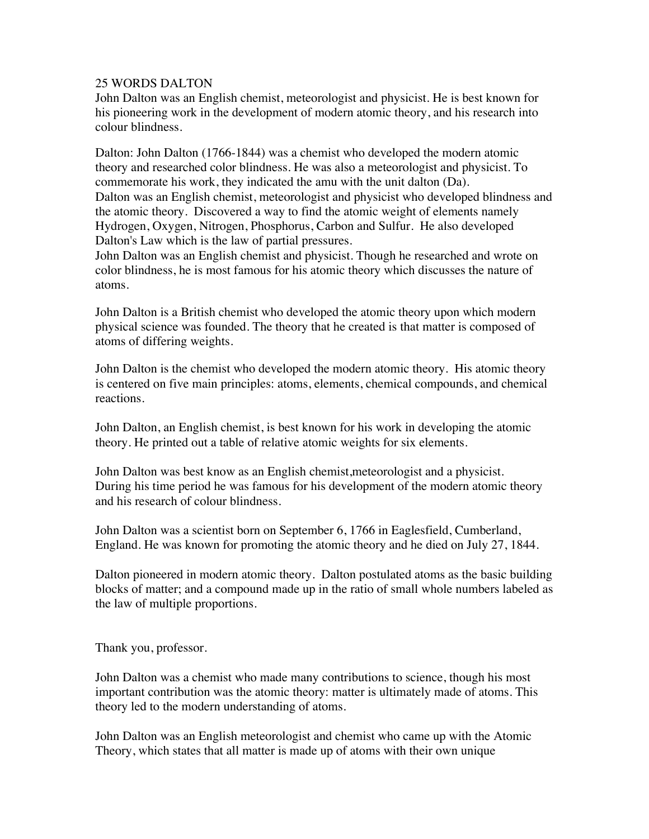## 25 WORDS DALTON

John Dalton was an English chemist, meteorologist and physicist. He is best known for his pioneering work in the development of modern atomic theory, and his research into colour blindness.

Dalton: John Dalton (1766-1844) was a chemist who developed the modern atomic theory and researched color blindness. He was also a meteorologist and physicist. To commemorate his work, they indicated the amu with the unit dalton (Da). Dalton was an English chemist, meteorologist and physicist who developed blindness and the atomic theory. Discovered a way to find the atomic weight of elements namely Hydrogen, Oxygen, Nitrogen, Phosphorus, Carbon and Sulfur. He also developed Dalton's Law which is the law of partial pressures.

John Dalton was an English chemist and physicist. Though he researched and wrote on color blindness, he is most famous for his atomic theory which discusses the nature of atoms.

John Dalton is a British chemist who developed the atomic theory upon which modern physical science was founded. The theory that he created is that matter is composed of atoms of differing weights.

John Dalton is the chemist who developed the modern atomic theory. His atomic theory is centered on five main principles: atoms, elements, chemical compounds, and chemical reactions.

John Dalton, an English chemist, is best known for his work in developing the atomic theory. He printed out a table of relative atomic weights for six elements.

John Dalton was best know as an English chemist,meteorologist and a physicist. During his time period he was famous for his development of the modern atomic theory and his research of colour blindness.

John Dalton was a scientist born on September 6, 1766 in Eaglesfield, Cumberland, England. He was known for promoting the atomic theory and he died on July 27, 1844.

Dalton pioneered in modern atomic theory. Dalton postulated atoms as the basic building blocks of matter; and a compound made up in the ratio of small whole numbers labeled as the law of multiple proportions.

Thank you, professor.

John Dalton was a chemist who made many contributions to science, though his most important contribution was the atomic theory: matter is ultimately made of atoms. This theory led to the modern understanding of atoms.

John Dalton was an English meteorologist and chemist who came up with the Atomic Theory, which states that all matter is made up of atoms with their own unique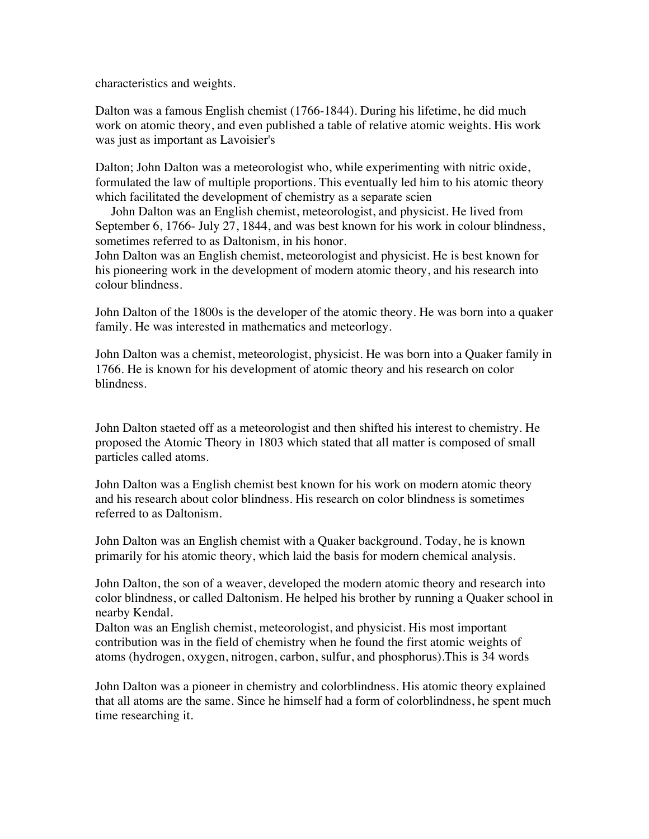characteristics and weights.

Dalton was a famous English chemist (1766-1844). During his lifetime, he did much work on atomic theory, and even published a table of relative atomic weights. His work was just as important as Lavoisier's

Dalton; John Dalton was a meteorologist who, while experimenting with nitric oxide, formulated the law of multiple proportions. This eventually led him to his atomic theory which facilitated the development of chemistry as a separate scien

 John Dalton was an English chemist, meteorologist, and physicist. He lived from September 6, 1766- July 27, 1844, and was best known for his work in colour blindness, sometimes referred to as Daltonism, in his honor.

John Dalton was an English chemist, meteorologist and physicist. He is best known for his pioneering work in the development of modern atomic theory, and his research into colour blindness.

John Dalton of the 1800s is the developer of the atomic theory. He was born into a quaker family. He was interested in mathematics and meteorlogy.

John Dalton was a chemist, meteorologist, physicist. He was born into a Quaker family in 1766. He is known for his development of atomic theory and his research on color blindness.

John Dalton staeted off as a meteorologist and then shifted his interest to chemistry. He proposed the Atomic Theory in 1803 which stated that all matter is composed of small particles called atoms.

John Dalton was a English chemist best known for his work on modern atomic theory and his research about color blindness. His research on color blindness is sometimes referred to as Daltonism.

John Dalton was an English chemist with a Quaker background. Today, he is known primarily for his atomic theory, which laid the basis for modern chemical analysis.

John Dalton, the son of a weaver, developed the modern atomic theory and research into color blindness, or called Daltonism. He helped his brother by running a Quaker school in nearby Kendal.

Dalton was an English chemist, meteorologist, and physicist. His most important contribution was in the field of chemistry when he found the first atomic weights of atoms (hydrogen, oxygen, nitrogen, carbon, sulfur, and phosphorus).This is 34 words

John Dalton was a pioneer in chemistry and colorblindness. His atomic theory explained that all atoms are the same. Since he himself had a form of colorblindness, he spent much time researching it.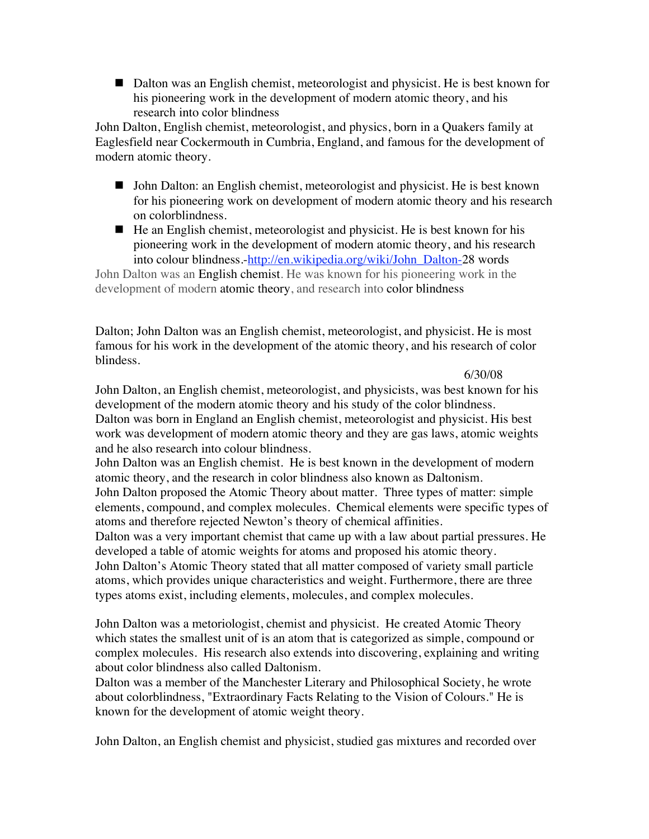■ Dalton was an English chemist, meteorologist and physicist. He is best known for his pioneering work in the development of modern atomic theory, and his research into color blindness

John Dalton, English chemist, meteorologist, and physics, born in a Quakers family at Eaglesfield near Cockermouth in Cumbria, England, and famous for the development of modern atomic theory.

- John Dalton: an English chemist, meteorologist and physicist. He is best known for his pioneering work on development of modern atomic theory and his research on colorblindness.
- $\blacksquare$  He an English chemist, meteorologist and physicist. He is best known for his pioneering work in the development of modern atomic theory, and his research into colour blindness.-http://en.wikipedia.org/wiki/John\_Dalton-28 words

John Dalton was an English chemist. He was known for his pioneering work in the development of modern atomic theory, and research into color blindness

Dalton; John Dalton was an English chemist, meteorologist, and physicist. He is most famous for his work in the development of the atomic theory, and his research of color blindess.

6/30/08

John Dalton, an English chemist, meteorologist, and physicists, was best known for his development of the modern atomic theory and his study of the color blindness. Dalton was born in England an English chemist, meteorologist and physicist. His best work was development of modern atomic theory and they are gas laws, atomic weights and he also research into colour blindness.

John Dalton was an English chemist. He is best known in the development of modern atomic theory, and the research in color blindness also known as Daltonism. John Dalton proposed the Atomic Theory about matter. Three types of matter: simple

elements, compound, and complex molecules. Chemical elements were specific types of atoms and therefore rejected Newton's theory of chemical affinities.

Dalton was a very important chemist that came up with a law about partial pressures. He developed a table of atomic weights for atoms and proposed his atomic theory. John Dalton's Atomic Theory stated that all matter composed of variety small particle atoms, which provides unique characteristics and weight. Furthermore, there are three types atoms exist, including elements, molecules, and complex molecules.

John Dalton was a metoriologist, chemist and physicist. He created Atomic Theory which states the smallest unit of is an atom that is categorized as simple, compound or complex molecules. His research also extends into discovering, explaining and writing about color blindness also called Daltonism.

Dalton was a member of the Manchester Literary and Philosophical Society, he wrote about colorblindness, "Extraordinary Facts Relating to the Vision of Colours." He is known for the development of atomic weight theory.

John Dalton, an English chemist and physicist, studied gas mixtures and recorded over